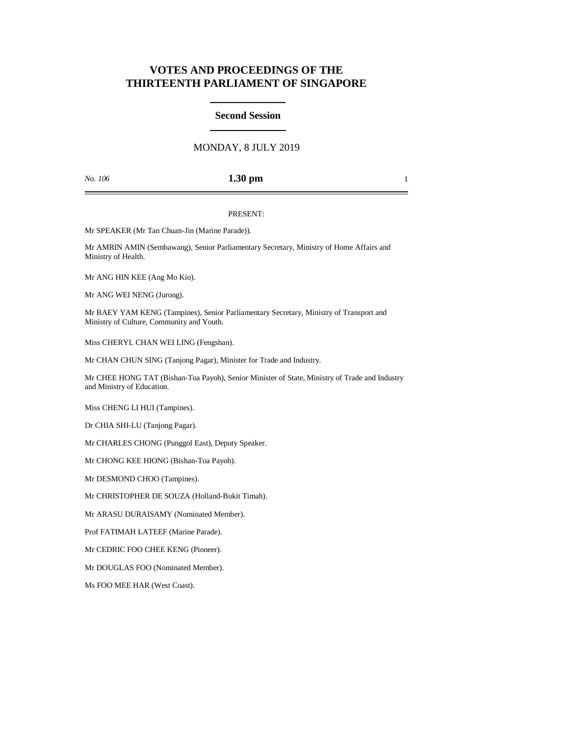# **VOTES AND PROCEEDINGS OF THE THIRTEENTH PARLIAMENT OF SINGAPORE**

### **Second Session**

## MONDAY, 8 JULY 2019

*No. 106* **1.30 pm** 1

#### PRESENT:

Mr SPEAKER (Mr Tan Chuan-Jin (Marine Parade)).

Mr AMRIN AMIN (Sembawang), Senior Parliamentary Secretary, Ministry of Home Affairs and Ministry of Health.

Mr ANG HIN KEE (Ang Mo Kio).

Mr ANG WEI NENG (Jurong).

Mr BAEY YAM KENG (Tampines), Senior Parliamentary Secretary, Ministry of Transport and Ministry of Culture, Community and Youth.

Miss CHERYL CHAN WEI LING (Fengshan).

Mr CHAN CHUN SING (Tanjong Pagar), Minister for Trade and Industry.

Mr CHEE HONG TAT (Bishan-Toa Payoh), Senior Minister of State, Ministry of Trade and Industry and Ministry of Education.

Miss CHENG LI HUI (Tampines).

Dr CHIA SHI-LU (Tanjong Pagar).

Mr CHARLES CHONG (Punggol East), Deputy Speaker.

Mr CHONG KEE HIONG (Bishan-Toa Payoh).

Mr DESMOND CHOO (Tampines).

Mr CHRISTOPHER DE SOUZA (Holland-Bukit Timah).

Mr ARASU DURAISAMY (Nominated Member).

Prof FATIMAH LATEEF (Marine Parade).

Mr CEDRIC FOO CHEE KENG (Pioneer).

Mr DOUGLAS FOO (Nominated Member).

Ms FOO MEE HAR (West Coast).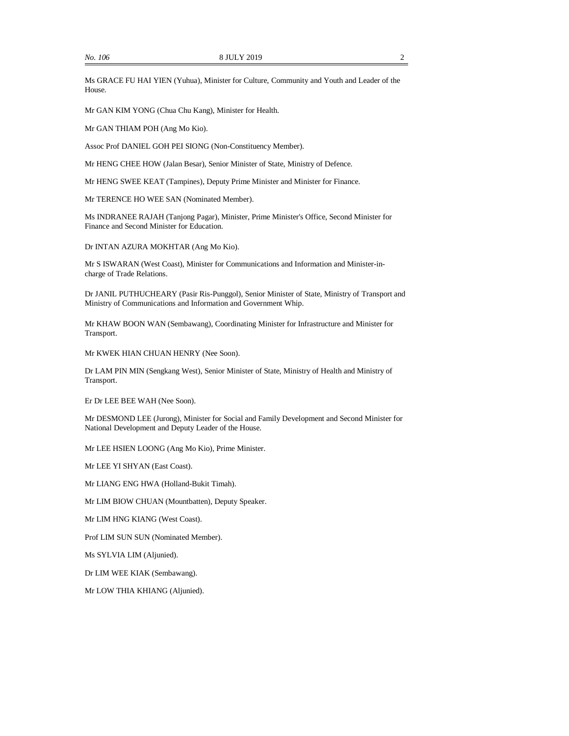Ms GRACE FU HAI YIEN (Yuhua), Minister for Culture, Community and Youth and Leader of the House.

Mr GAN KIM YONG (Chua Chu Kang), Minister for Health.

Mr GAN THIAM POH (Ang Mo Kio).

Assoc Prof DANIEL GOH PEI SIONG (Non-Constituency Member).

Mr HENG CHEE HOW (Jalan Besar), Senior Minister of State, Ministry of Defence.

Mr HENG SWEE KEAT (Tampines), Deputy Prime Minister and Minister for Finance.

Mr TERENCE HO WEE SAN (Nominated Member).

Ms INDRANEE RAJAH (Tanjong Pagar), Minister, Prime Minister's Office, Second Minister for Finance and Second Minister for Education.

Dr INTAN AZURA MOKHTAR (Ang Mo Kio).

Mr S ISWARAN (West Coast), Minister for Communications and Information and Minister-incharge of Trade Relations.

Dr JANIL PUTHUCHEARY (Pasir Ris-Punggol), Senior Minister of State, Ministry of Transport and Ministry of Communications and Information and Government Whip.

Mr KHAW BOON WAN (Sembawang), Coordinating Minister for Infrastructure and Minister for Transport.

Mr KWEK HIAN CHUAN HENRY (Nee Soon).

Dr LAM PIN MIN (Sengkang West), Senior Minister of State, Ministry of Health and Ministry of Transport.

Er Dr LEE BEE WAH (Nee Soon).

Mr DESMOND LEE (Jurong), Minister for Social and Family Development and Second Minister for National Development and Deputy Leader of the House.

Mr LEE HSIEN LOONG (Ang Mo Kio), Prime Minister.

Mr LEE YI SHYAN (East Coast).

Mr LIANG ENG HWA (Holland-Bukit Timah).

Mr LIM BIOW CHUAN (Mountbatten), Deputy Speaker.

Mr LIM HNG KIANG (West Coast).

Prof LIM SUN SUN (Nominated Member).

Ms SYLVIA LIM (Aljunied).

Dr LIM WEE KIAK (Sembawang).

Mr LOW THIA KHIANG (Aljunied).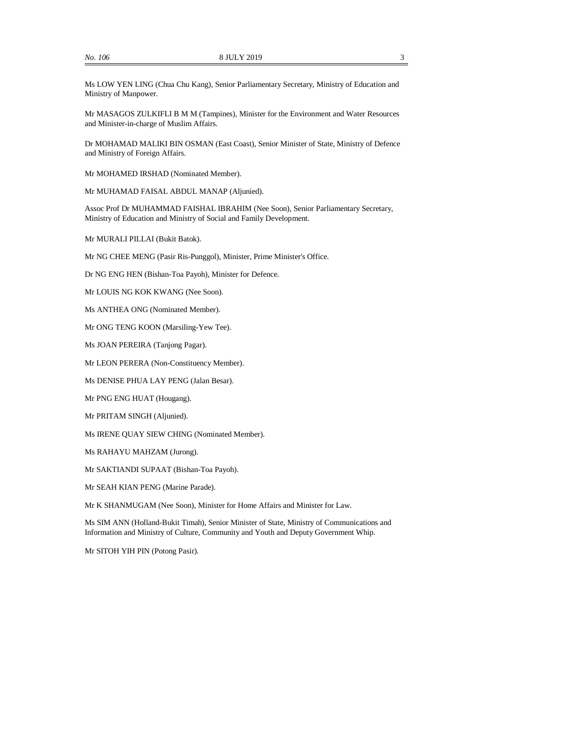Ms LOW YEN LING (Chua Chu Kang), Senior Parliamentary Secretary, Ministry of Education and Ministry of Manpower.

Mr MASAGOS ZULKIFLI B M M (Tampines), Minister for the Environment and Water Resources and Minister-in-charge of Muslim Affairs.

Dr MOHAMAD MALIKI BIN OSMAN (East Coast), Senior Minister of State, Ministry of Defence and Ministry of Foreign Affairs.

Mr MOHAMED IRSHAD (Nominated Member).

Mr MUHAMAD FAISAL ABDUL MANAP (Aljunied).

Assoc Prof Dr MUHAMMAD FAISHAL IBRAHIM (Nee Soon), Senior Parliamentary Secretary, Ministry of Education and Ministry of Social and Family Development.

Mr MURALI PILLAI (Bukit Batok).

Mr NG CHEE MENG (Pasir Ris-Punggol), Minister, Prime Minister's Office.

Dr NG ENG HEN (Bishan-Toa Payoh), Minister for Defence.

Mr LOUIS NG KOK KWANG (Nee Soon).

Ms ANTHEA ONG (Nominated Member).

Mr ONG TENG KOON (Marsiling-Yew Tee).

Ms JOAN PEREIRA (Tanjong Pagar).

Mr LEON PERERA (Non-Constituency Member).

Ms DENISE PHUA LAY PENG (Jalan Besar).

Mr PNG ENG HUAT (Hougang).

Mr PRITAM SINGH (Aljunied).

Ms IRENE QUAY SIEW CHING (Nominated Member).

Ms RAHAYU MAHZAM (Jurong).

Mr SAKTIANDI SUPAAT (Bishan-Toa Payoh).

Mr SEAH KIAN PENG (Marine Parade).

Mr K SHANMUGAM (Nee Soon), Minister for Home Affairs and Minister for Law.

Ms SIM ANN (Holland-Bukit Timah), Senior Minister of State, Ministry of Communications and Information and Ministry of Culture, Community and Youth and Deputy Government Whip.

Mr SITOH YIH PIN (Potong Pasir).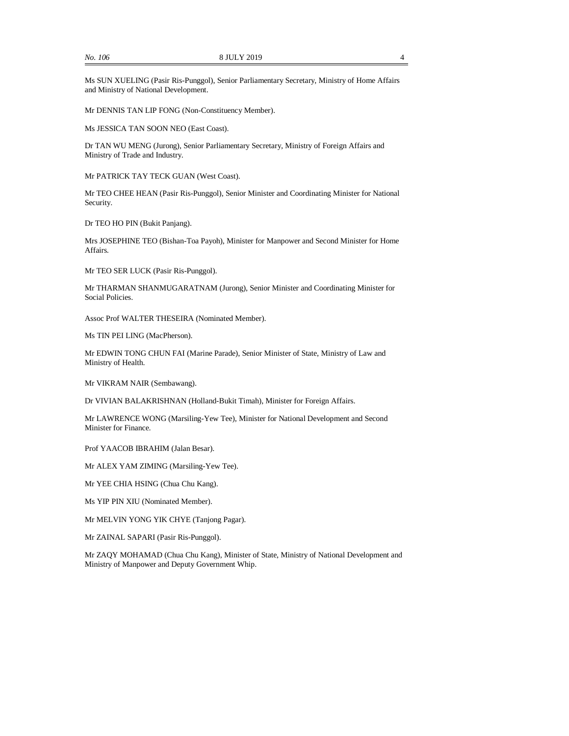Ms SUN XUELING (Pasir Ris-Punggol), Senior Parliamentary Secretary, Ministry of Home Affairs and Ministry of National Development.

Mr DENNIS TAN LIP FONG (Non-Constituency Member).

Ms JESSICA TAN SOON NEO (East Coast).

Dr TAN WU MENG (Jurong), Senior Parliamentary Secretary, Ministry of Foreign Affairs and Ministry of Trade and Industry.

Mr PATRICK TAY TECK GUAN (West Coast).

Mr TEO CHEE HEAN (Pasir Ris-Punggol), Senior Minister and Coordinating Minister for National Security.

Dr TEO HO PIN (Bukit Panjang).

Mrs JOSEPHINE TEO (Bishan-Toa Payoh), Minister for Manpower and Second Minister for Home Affairs.

Mr TEO SER LUCK (Pasir Ris-Punggol).

Mr THARMAN SHANMUGARATNAM (Jurong), Senior Minister and Coordinating Minister for Social Policies.

Assoc Prof WALTER THESEIRA (Nominated Member).

Ms TIN PEI LING (MacPherson).

Mr EDWIN TONG CHUN FAI (Marine Parade), Senior Minister of State, Ministry of Law and Ministry of Health.

Mr VIKRAM NAIR (Sembawang).

Dr VIVIAN BALAKRISHNAN (Holland-Bukit Timah), Minister for Foreign Affairs.

Mr LAWRENCE WONG (Marsiling-Yew Tee), Minister for National Development and Second Minister for Finance.

Prof YAACOB IBRAHIM (Jalan Besar).

Mr ALEX YAM ZIMING (Marsiling-Yew Tee).

Mr YEE CHIA HSING (Chua Chu Kang).

Ms YIP PIN XIU (Nominated Member).

Mr MELVIN YONG YIK CHYE (Tanjong Pagar).

Mr ZAINAL SAPARI (Pasir Ris-Punggol).

Mr ZAQY MOHAMAD (Chua Chu Kang), Minister of State, Ministry of National Development and Ministry of Manpower and Deputy Government Whip.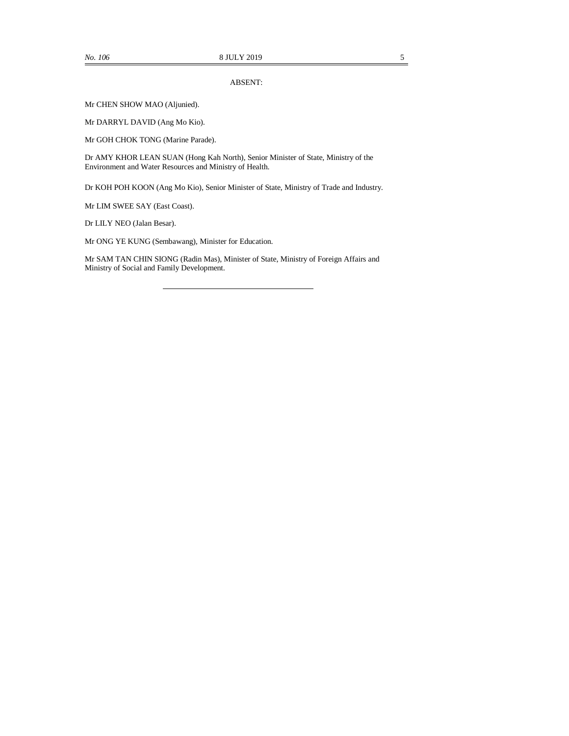#### ABSENT:

Mr CHEN SHOW MAO (Aljunied).

Mr DARRYL DAVID (Ang Mo Kio).

Mr GOH CHOK TONG (Marine Parade).

Dr AMY KHOR LEAN SUAN (Hong Kah North), Senior Minister of State, Ministry of the Environment and Water Resources and Ministry of Health.

Dr KOH POH KOON (Ang Mo Kio), Senior Minister of State, Ministry of Trade and Industry.

Mr LIM SWEE SAY (East Coast).

Dr LILY NEO (Jalan Besar).

Mr ONG YE KUNG (Sembawang), Minister for Education.

Mr SAM TAN CHIN SIONG (Radin Mas), Minister of State, Ministry of Foreign Affairs and Ministry of Social and Family Development.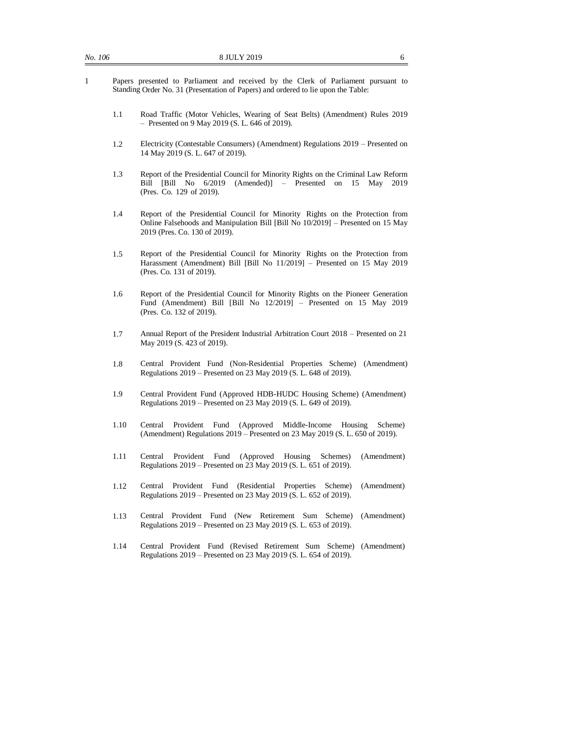- 1 Papers presented to Parliament and received by the Clerk of Parliament pursuant to Standing Order No. 31 (Presentation of Papers) and ordered to lie upon the Table:
	- 1.1 Road Traffic (Motor Vehicles, Wearing of Seat Belts) (Amendment) Rules 2019 – Presented on 9 May 2019 (S. L. 646 of 2019).
	- 1.2 Electricity (Contestable Consumers) (Amendment) Regulations 2019 Presented on 14 May 2019 (S. L. 647 of 2019).
	- 1.3 Report of the Presidential Council for Minority Rights on the Criminal Law Reform Bill [Bill No 6/2019 (Amended)] – Presented on 15 May 2019 (Pres. Co. 129 of 2019).
	- 1.4 Report of the Presidential Council for Minority Rights on the Protection from Online Falsehoods and Manipulation Bill [Bill No 10/2019] – Presented on 15 May 2019 (Pres. Co. 130 of 2019).
	- 1.5 Report of the Presidential Council for Minority Rights on the Protection from Harassment (Amendment) Bill [Bill No 11/2019] – Presented on 15 May 2019 (Pres. Co. 131 of 2019).
	- 1.6 Report of the Presidential Council for Minority Rights on the Pioneer Generation Fund (Amendment) Bill [Bill No 12/2019] - Presented on 15 May 2019 (Pres. Co. 132 of 2019).
	- 1.7 Annual Report of the President Industrial Arbitration Court 2018 Presented on 21 May 2019 (S. 423 of 2019).
	- 1.8 Central Provident Fund (Non-Residential Properties Scheme) (Amendment) Regulations 2019 – Presented on 23 May 2019 (S. L. 648 of 2019).
	- 1.9 Central Provident Fund (Approved HDB-HUDC Housing Scheme) (Amendment) Regulations 2019 – Presented on 23 May 2019 (S. L. 649 of 2019).
	- 1.10 Central Provident Fund (Approved Middle-Income Housing Scheme) (Amendment) Regulations 2019 – Presented on 23 May 2019 (S. L. 650 of 2019).
	- 1.11 Central Provident Fund (Approved Housing Schemes) (Amendment) Regulations 2019 – Presented on 23 May 2019 (S. L. 651 of 2019).
	- 1.12 Central Provident Fund (Residential Properties Scheme) (Amendment) Regulations 2019 – Presented on 23 May 2019 (S. L. 652 of 2019).
	- 1.13 Central Provident Fund (New Retirement Sum Scheme) (Amendment) Regulations 2019 – Presented on 23 May 2019 (S. L. 653 of 2019).
	- 1.14 Central Provident Fund (Revised Retirement Sum Scheme) (Amendment) Regulations 2019 – Presented on 23 May 2019 (S. L. 654 of 2019).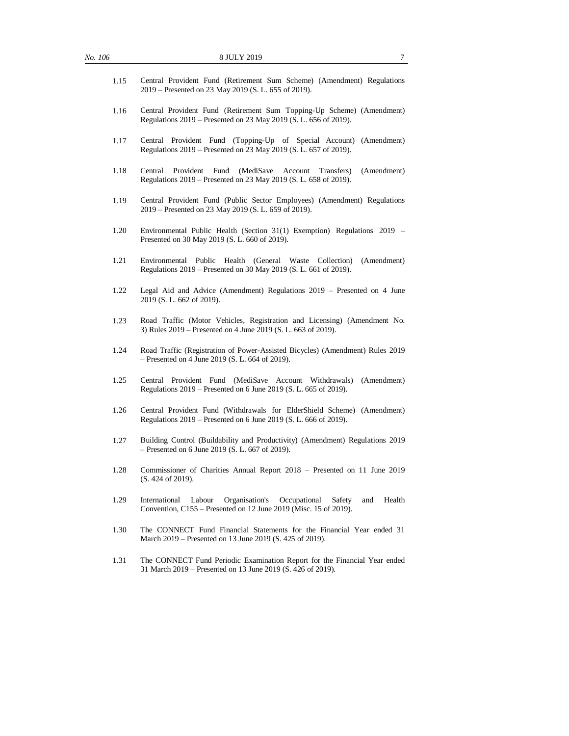| No. 106 | 8 JULY 2019<br>7                                                                                                                                         |
|---------|----------------------------------------------------------------------------------------------------------------------------------------------------------|
| 1.15    | Central Provident Fund (Retirement Sum Scheme) (Amendment) Regulations<br>2019 – Presented on 23 May 2019 (S. L. 655 of 2019).                           |
| 1.16    | Central Provident Fund (Retirement Sum Topping-Up Scheme) (Amendment)<br>Regulations 2019 – Presented on 23 May 2019 (S. L. 656 of 2019).                |
| 1.17    | Central Provident Fund (Topping-Up of Special Account) (Amendment)<br>Regulations 2019 – Presented on 23 May 2019 (S. L. 657 of 2019).                   |
| 1.18    | Provident<br>(MediSave<br>(Amendment)<br>Central<br>Fund<br>Account<br>Transfers)<br>Regulations 2019 – Presented on 23 May 2019 (S. L. 658 of 2019).    |
| 1.19    | Central Provident Fund (Public Sector Employees) (Amendment) Regulations<br>2019 – Presented on 23 May 2019 (S. L. 659 of 2019).                         |
| 1.20    | Environmental Public Health (Section 31(1) Exemption) Regulations 2019 -<br>Presented on 30 May 2019 (S. L. 660 of 2019).                                |
| 1.21    | Environmental Public Health (General Waste<br>Collection)<br>(Amendment)<br>Regulations 2019 – Presented on 30 May 2019 (S. L. 661 of 2019).             |
| 1.22    | Legal Aid and Advice (Amendment) Regulations 2019 - Presented on 4 June<br>2019 (S. L. 662 of 2019).                                                     |
| 1.23    | Road Traffic (Motor Vehicles, Registration and Licensing) (Amendment No.<br>3) Rules 2019 – Presented on 4 June 2019 (S. L. 663 of 2019).                |
| 1.24    | Road Traffic (Registration of Power-Assisted Bicycles) (Amendment) Rules 2019<br>$-$ Presented on 4 June 2019 (S. L. 664 of 2019).                       |
| 1.25    | Central Provident Fund (MediSave Account Withdrawals)<br>(Amendment)<br>Regulations 2019 – Presented on 6 June 2019 (S. L. 665 of 2019).                 |
| 1.26    | Central Provident Fund (Withdrawals for ElderShield Scheme) (Amendment)<br>Regulations 2019 – Presented on 6 June 2019 (S. L. 666 of 2019).              |
| 1.27    | Building Control (Buildability and Productivity) (Amendment) Regulations 2019<br>$-$ Presented on 6 June 2019 (S. L. 667 of 2019).                       |
| 1.28    | Commissioner of Charities Annual Report 2018 - Presented on 11 June 2019<br>(S. 424 of 2019).                                                            |
| 1.29    | International<br>Organisation's<br>Occupational<br>Safety<br>Health<br>Labour<br>and<br>Convention, C155 – Presented on 12 June 2019 (Misc. 15 of 2019). |
| 1.30    | The CONNECT Fund Financial Statements for the Financial Year ended 31<br>March 2019 – Presented on 13 June 2019 (S. 425 of 2019).                        |
| 1.31    | The CONNECT Fund Periodic Examination Report for the Financial Year ended<br>31 March 2019 – Presented on 13 June 2019 (S. 426 of 2019).                 |
|         |                                                                                                                                                          |
|         |                                                                                                                                                          |
|         |                                                                                                                                                          |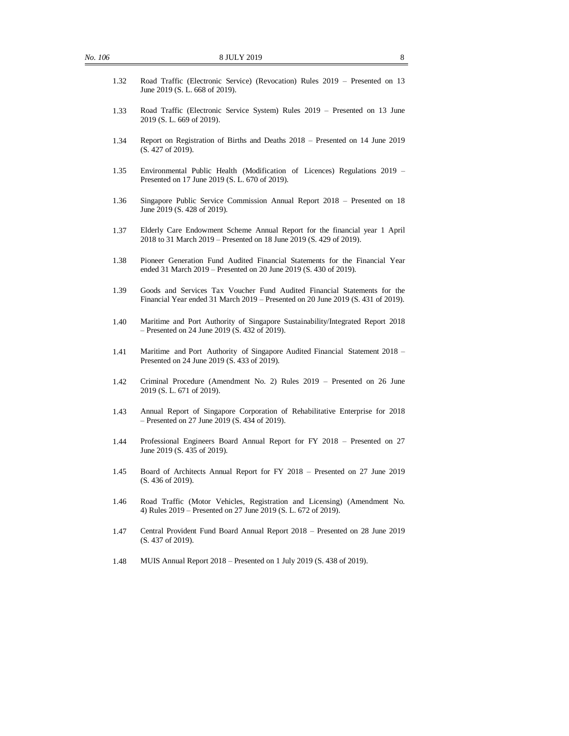| 1.32 | Road Traffic (Electronic Service) (Revocation) Rules 2019 – Presented on 13<br>June 2019 (S. L. 668 of 2019).                                                |
|------|--------------------------------------------------------------------------------------------------------------------------------------------------------------|
| 1.33 | Road Traffic (Electronic Service System) Rules 2019 – Presented on 13 June<br>2019 (S. L. 669 of 2019).                                                      |
| 1.34 | Report on Registration of Births and Deaths 2018 – Presented on 14 June 2019<br>(S. 427 of 2019).                                                            |
| 1.35 | Environmental Public Health (Modification of Licences) Regulations 2019 –<br>Presented on 17 June 2019 (S. L. 670 of 2019).                                  |
| 1.36 | Singapore Public Service Commission Annual Report 2018 – Presented on 18<br>June 2019 (S. 428 of 2019).                                                      |
| 1.37 | Elderly Care Endowment Scheme Annual Report for the financial year 1 April<br>2018 to 31 March 2019 – Presented on 18 June 2019 (S. 429 of 2019).            |
| 1.38 | Pioneer Generation Fund Audited Financial Statements for the Financial Year<br>ended 31 March 2019 – Presented on 20 June 2019 (S. 430 of 2019).             |
| 1.39 | Goods and Services Tax Voucher Fund Audited Financial Statements for the<br>Financial Year ended 31 March 2019 – Presented on 20 June 2019 (S. 431 of 2019). |
| 1.40 | Maritime and Port Authority of Singapore Sustainability/Integrated Report 2018<br>$-$ Presented on 24 June 2019 (S. 432 of 2019).                            |
| 1.41 | Maritime and Port Authority of Singapore Audited Financial Statement 2018 -<br>Presented on 24 June 2019 (S. 433 of 2019).                                   |
| 1.42 | Criminal Procedure (Amendment No. 2) Rules 2019 - Presented on 26 June<br>2019 (S. L. 671 of 2019).                                                          |
| 1.43 | Annual Report of Singapore Corporation of Rehabilitative Enterprise for 2018<br>$-$ Presented on 27 June 2019 (S. 434 of 2019).                              |
| 1.44 | Professional Engineers Board Annual Report for FY 2018 - Presented on 27<br>June 2019 (S. 435 of 2019).                                                      |
| 1.45 | Board of Architects Annual Report for FY 2018 – Presented on 27 June 2019<br>(S. 436 of 2019).                                                               |
| 1.46 | Road Traffic (Motor Vehicles, Registration and Licensing) (Amendment No.<br>4) Rules 2019 – Presented on 27 June 2019 (S. L. 672 of 2019).                   |
| 1.47 | Central Provident Fund Board Annual Report 2018 – Presented on 28 June 2019<br>(S. 437 of 2019).                                                             |
| 1.48 | MUIS Annual Report $2018$ – Presented on 1 July 2019 (S. 438 of 2019).                                                                                       |
|      |                                                                                                                                                              |
|      |                                                                                                                                                              |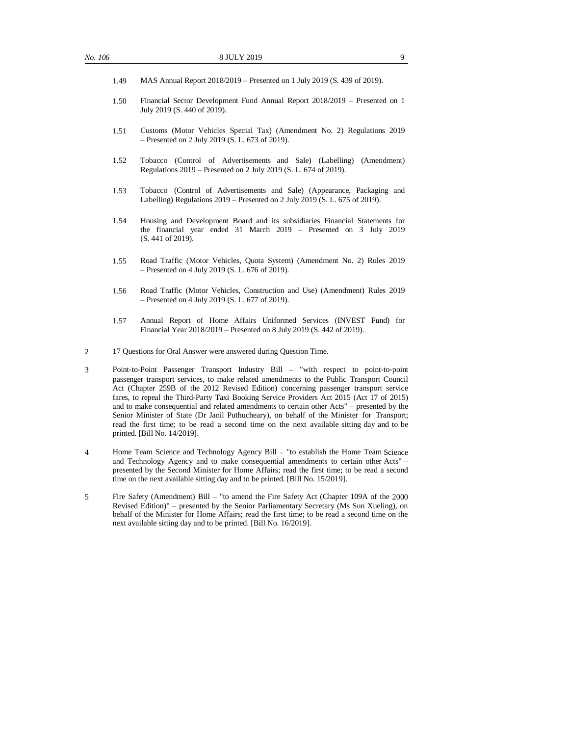- 1.49 MAS Annual Report 2018/2019 Presented on 1 July 2019 (S. 439 of 2019).
- 1.50 Financial Sector Development Fund Annual Report 2018/2019 Presented on 1 July 2019 (S. 440 of 2019).
- 1.51 Customs (Motor Vehicles Special Tax) (Amendment No. 2) Regulations 2019 – Presented on 2 July 2019 (S. L. 673 of 2019).
- 1.52 Tobacco (Control of Advertisements and Sale) (Labelling) (Amendment) Regulations 2019 – Presented on 2 July 2019 (S. L. 674 of 2019).
- 1.53 Tobacco (Control of Advertisements and Sale) (Appearance, Packaging and Labelling) Regulations  $2019$  – Presented on 2 July  $2019$  (S. L. 675 of 2019).
- 1.54 Housing and Development Board and its subsidiaries Financial Statements for the financial year ended 31 March 2019 – Presented on 3 July 2019 (S. 441 of 2019).
- 1.55 Road Traffic (Motor Vehicles, Quota System) (Amendment No. 2) Rules 2019 – Presented on 4 July 2019 (S. L. 676 of 2019).
- 1.56 Road Traffic (Motor Vehicles, Construction and Use) (Amendment) Rules 2019 – Presented on 4 July 2019 (S. L. 677 of 2019).
- 1.57 Annual Report of Home Affairs Uniformed Services (INVEST Fund) for Financial Year 2018/2019 – Presented on 8 July 2019 (S. 442 of 2019).
- 2 17 Questions for Oral Answer were answered during Question Time.
- 3 Point-to-Point Passenger Transport Industry Bill "with respect to point-to-point passenger transport services, to make related amendments to the Public Transport Council Act (Chapter 259B of the 2012 Revised Edition) concerning passenger transport service fares, to repeal the Third-Party Taxi Booking Service Providers Act 2015 (Act 17 of 2015) and to make consequential and related amendments to certain other Acts" – presented by the Senior Minister of State (Dr Janil Puthucheary), on behalf of the Minister for Transport; read the first time; to be read a second time on the next available sitting day and to be printed. [Bill No. 14/2019].
- 4 Home Team Science and Technology Agency Bill "to establish the Home Team Science and Technology Agency and to make consequential amendments to certain other Acts" – presented by the Second Minister for Home Affairs; read the first time; to be read a second time on the next available sitting day and to be printed. [Bill No. 15/2019].
- 5 Fire Safety (Amendment) Bill "to amend the Fire Safety Act (Chapter 109A of the 2000 Revised Edition)" – presented by the Senior Parliamentary Secretary (Ms Sun Xueling), on behalf of the Minister for Home Affairs; read the first time; to be read a second time on the next available sitting day and to be printed. [Bill No. 16/2019].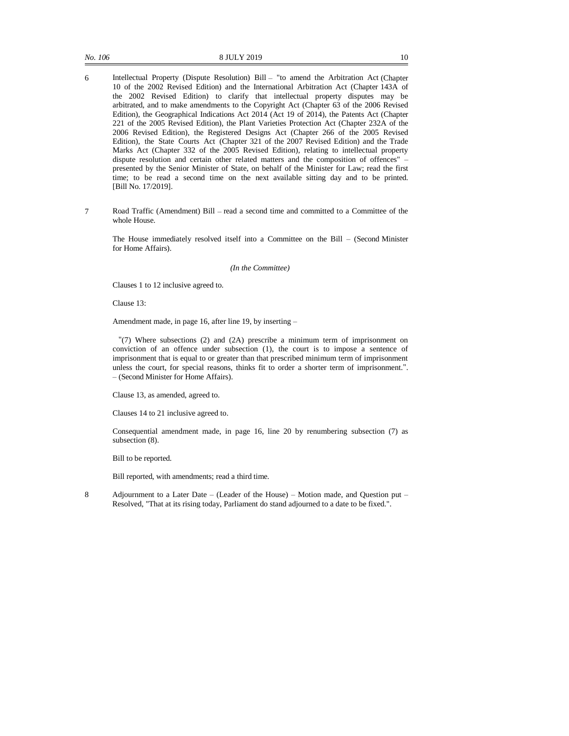- 6 Intellectual Property (Dispute Resolution) Bill "to amend the Arbitration Act (Chapter 10 of the 2002 Revised Edition) and the International Arbitration Act (Chapter 143A of the 2002 Revised Edition) to clarify that intellectual property disputes may be arbitrated, and to make amendments to the Copyright Act (Chapter 63 of the 2006 Revised Edition), the Geographical Indications Act 2014 (Act 19 of 2014), the Patents Act (Chapter 221 of the 2005 Revised Edition), the Plant Varieties Protection Act (Chapter 232A of the 2006 Revised Edition), the Registered Designs Act (Chapter 266 of the 2005 Revised Edition), the State Courts Act (Chapter 321 of the 2007 Revised Edition) and the Trade Marks Act (Chapter 332 of the 2005 Revised Edition), relating to intellectual property dispute resolution and certain other related matters and the composition of offences" – presented by the Senior Minister of State, on behalf of the Minister for Law; read the first time; to be read a second time on the next available sitting day and to be printed. [Bill No. 17/2019].
- 7 Road Traffic (Amendment) Bill read a second time and committed to a Committee of the whole House.

The House immediately resolved itself into a Committee on the Bill – (Second Minister for Home Affairs).

*(In the Committee)*

Clauses 1 to 12 inclusive agreed to.

Clause 13:

Amendment made, in page 16, after line 19, by inserting –

"(7) Where subsections (2) and (2A) prescribe a minimum term of imprisonment on conviction of an offence under subsection (1), the court is to impose a sentence of imprisonment that is equal to or greater than that prescribed minimum term of imprisonment unless the court, for special reasons, thinks fit to order a shorter term of imprisonment.". – (Second Minister for Home Affairs).

Clause 13, as amended, agreed to.

Clauses 14 to 21 inclusive agreed to.

Consequential amendment made, in page 16, line 20 by renumbering subsection (7) as subsection (8).

Bill to be reported.

Bill reported, with amendments; read a third time.

8 Adjournment to a Later Date – (Leader of the House) – Motion made, and Question put – Resolved, "That at its rising today, Parliament do stand adjourned to a date to be fixed.".